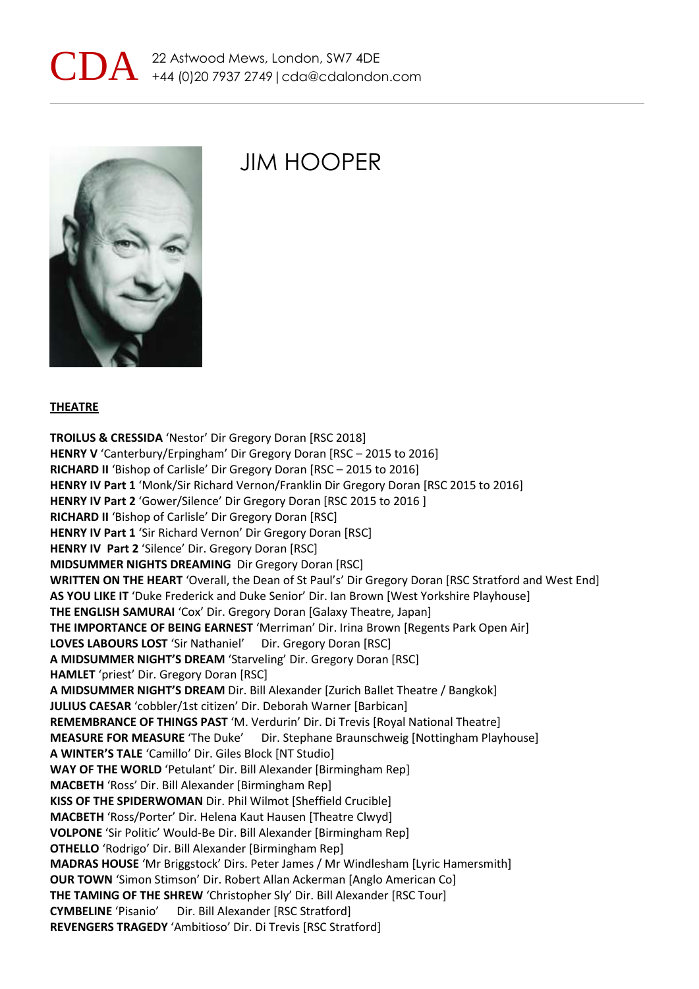



## JIM HOOPER

#### **THEATRE**

**TROILUS & CRESSIDA** 'Nestor' Dir Gregory Doran [RSC 2018] **HENRY V** 'Canterbury/Erpingham' Dir Gregory Doran [RSC – 2015 to 2016] **RICHARD II** 'Bishop of Carlisle' Dir Gregory Doran [RSC – 2015 to 2016] **HENRY IV Part 1** 'Monk/Sir Richard Vernon/Franklin Dir Gregory Doran [RSC 2015 to 2016] **HENRY IV Part 2** 'Gower/Silence' Dir Gregory Doran [RSC 2015 to 2016 ] **RICHARD II** 'Bishop of Carlisle' Dir Gregory Doran [RSC] **HENRY IV Part 1** 'Sir Richard Vernon' Dir Gregory Doran [RSC] **HENRY IV Part 2** 'Silence' Dir. Gregory Doran [RSC] **MIDSUMMER NIGHTS DREAMING** Dir Gregory Doran [RSC] **WRITTEN ON THE HEART** 'Overall, the Dean of St Paul's' Dir Gregory Doran [RSC Stratford and West End] **AS YOU LIKE IT** 'Duke Frederick and Duke Senior' Dir. Ian Brown [West Yorkshire Playhouse] **THE ENGLISH SAMURAI** 'Cox' Dir. Gregory Doran [Galaxy Theatre, Japan] **THE IMPORTANCE OF BEING EARNEST** 'Merriman' Dir. Irina Brown [Regents Park Open Air] LOVES LABOURS LOST 'Sir Nathaniel' Dir. Gregory Doran [RSC] **A MIDSUMMER NIGHT'S DREAM** 'Starveling' Dir. Gregory Doran [RSC] **HAMLET** 'priest' Dir. Gregory Doran [RSC] **A MIDSUMMER NIGHT'S DREAM** Dir. Bill Alexander [Zurich Ballet Theatre / Bangkok] **JULIUS CAESAR** 'cobbler/1st citizen' Dir. Deborah Warner [Barbican] **REMEMBRANCE OF THINGS PAST** 'M. Verdurin' Dir. Di Trevis [Royal National Theatre] **MEASURE FOR MEASURE** 'The Duke' Dir. Stephane Braunschweig [Nottingham Playhouse] **A WINTER'S TALE** 'Camillo' Dir. Giles Block [NT Studio] **WAY OF THE WORLD** 'Petulant' Dir. Bill Alexander [Birmingham Rep] **MACBETH** 'Ross' Dir. Bill Alexander [Birmingham Rep] **KISS OF THE SPIDERWOMAN** Dir. Phil Wilmot [Sheffield Crucible] **MACBETH** 'Ross/Porter' Dir. Helena Kaut Hausen [Theatre Clwyd] **VOLPONE** 'Sir Politic' Would-Be Dir. Bill Alexander [Birmingham Rep] **OTHELLO** 'Rodrigo' Dir. Bill Alexander [Birmingham Rep] **MADRAS HOUSE** 'Mr Briggstock' Dirs. Peter James / Mr Windlesham [Lyric Hamersmith] **OUR TOWN** 'Simon Stimson' Dir. Robert Allan Ackerman [Anglo American Co] **THE TAMING OF THE SHREW** 'Christopher Sly' Dir. Bill Alexander [RSC Tour] **CYMBELINE** 'Pisanio' Dir. Bill Alexander [RSC Stratford] **REVENGERS TRAGEDY** 'Ambitioso' Dir. Di Trevis [RSC Stratford]